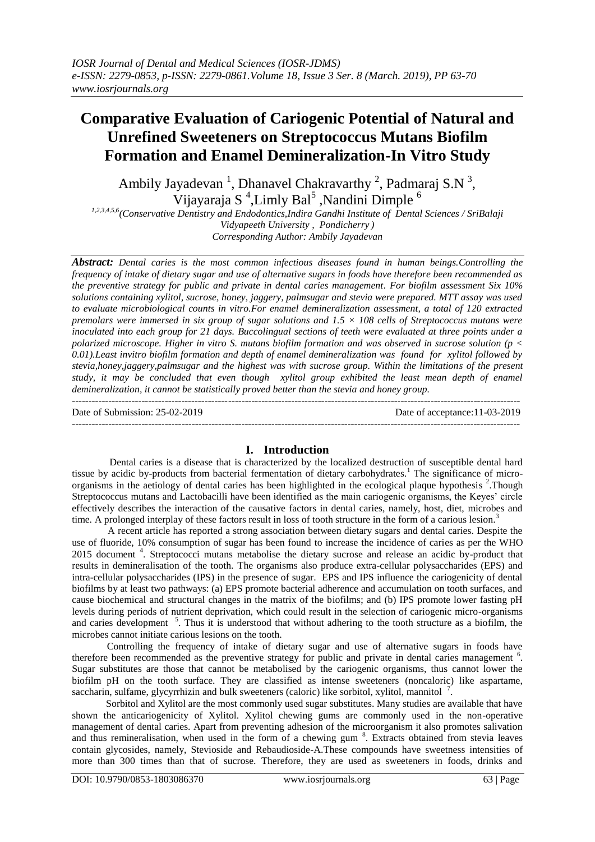# **Comparative Evaluation of Cariogenic Potential of Natural and Unrefined Sweeteners on Streptococcus Mutans Biofilm Formation and Enamel Demineralization-In Vitro Study**

Ambily Jayadevan<sup>1</sup>, Dhanavel Chakravarthy<sup>2</sup>, Padmaraj S.N<sup>3</sup>, Vijayaraja S<sup>4</sup>,Limly Bal<sup>5</sup>, Nandini Dimple<sup>6</sup>

*1,2,3,4,5,6(Conservative Dentistry and Endodontics,Indira Gandhi Institute of Dental Sciences / SriBalaji Vidyapeeth University , Pondicherry ) Corresponding Author: Ambily Jayadevan*

*Abstract: Dental caries is the most common infectious diseases found in human beings.Controlling the frequency of intake of dietary sugar and use of alternative sugars in foods have therefore been recommended as the preventive strategy for public and private in dental caries management. For biofilm assessment Six 10% solutions containing xylitol, sucrose, honey, jaggery, palmsugar and stevia were prepared. MTT assay was used to evaluate microbiological counts in vitro.For enamel demineralization assessment, a total of 120 extracted premolars were immersed in six group of sugar solutions and 1.5 × 108 cells of Streptococcus mutans were inoculated into each group for 21 days. Buccolingual sections of teeth were evaluated at three points under a polarized microscope. Higher in vitro S. mutans biofilm formation and was observed in sucrose solution (p < 0.01).Least invitro biofilm formation and depth of enamel demineralization was found for xylitol followed by stevia,honey,jaggery,palmsugar and the highest was with sucrose group. Within the limitations of the present study, it may be concluded that even though xylitol group exhibited the least mean depth of enamel demineralization, it cannot be statistically proved better than the stevia and honey group.* ---------------------------------------------------------------------------------------------------------------------------------------

Date of Submission: 25-02-2019 Date of acceptance:11-03-2019

#### $-1.1$

# **I. Introduction**

 Dental caries is a disease that is characterized by the localized destruction of susceptible dental hard tissue by acidic by-products from bacterial fermentation of dietary carbohydrates.<sup>1</sup> The significance of microorganisms in the aetiology of dental caries has been highlighted in the ecological plaque hypothesis<sup>2</sup>. Though Streptococcus mutans and Lactobacilli have been identified as the main cariogenic organisms, the Keyes' circle effectively describes the interaction of the causative factors in dental caries, namely, host, diet, microbes and time. A prolonged interplay of these factors result in loss of tooth structure in the form of a carious lesion.<sup>3</sup>

 A recent article has reported a strong association between dietary sugars and dental caries. Despite the use of fluoride, 10% consumption of sugar has been found to increase the incidence of caries as per the WHO 2015 document<sup>4</sup>. Streptococci mutans metabolise the dietary sucrose and release an acidic by-product that results in demineralisation of the tooth. The organisms also produce extra-cellular polysaccharides (EPS) and intra-cellular polysaccharides (IPS) in the presence of sugar. EPS and IPS influence the cariogenicity of dental biofilms by at least two pathways: (a) EPS promote bacterial adherence and accumulation on tooth surfaces, and cause biochemical and structural changes in the matrix of the biofilms; and (b) IPS promote lower fasting pH levels during periods of nutrient deprivation, which could result in the selection of cariogenic micro-organisms and caries development<sup>5</sup>. Thus it is understood that without adhering to the tooth structure as a biofilm, the microbes cannot initiate carious lesions on the tooth.

 Controlling the frequency of intake of dietary sugar and use of alternative sugars in foods have therefore been recommended as the preventive strategy for public and private in dental caries management <sup>6</sup>. Sugar substitutes are those that cannot be metabolised by the cariogenic organisms, thus cannot lower the biofilm pH on the tooth surface. They are classified as intense sweeteners (noncaloric) like aspartame, saccharin, sulfame, glycyrrhizin and bulk sweeteners (caloric) like sorbitol, xylitol, mannitol  $^7$ .

 Sorbitol and Xylitol are the most commonly used sugar substitutes. Many studies are available that have shown the anticariogenicity of Xylitol. Xylitol chewing gums are commonly used in the non-operative management of dental caries. Apart from preventing adhesion of the microorganism it also promotes salivation and thus remineralisation, when used in the form of a chewing gum <sup>8</sup>. Extracts obtained from stevia leaves contain glycosides, namely, Stevioside and Rebaudioside-A.These compounds have sweetness intensities of more than 300 times than that of sucrose. Therefore, they are used as sweeteners in foods, drinks and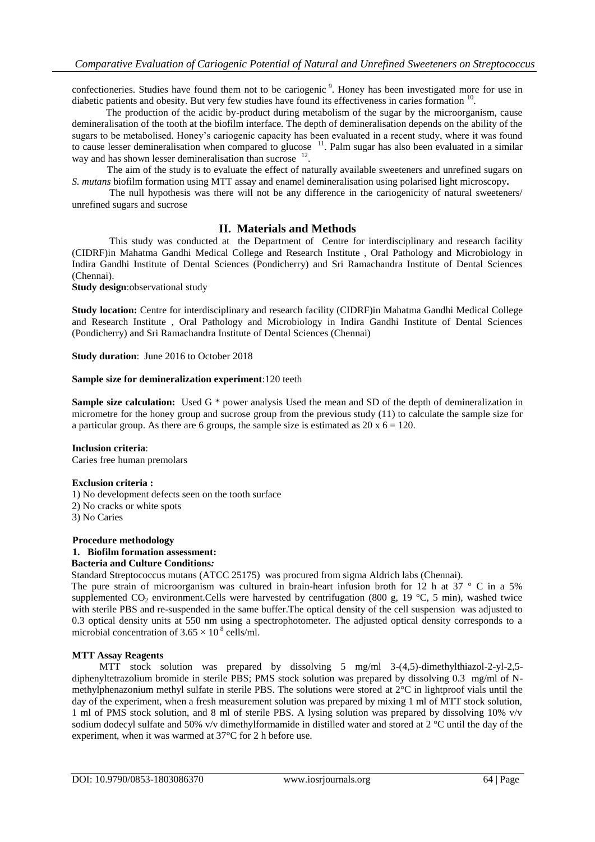confectioneries. Studies have found them not to be cariogenic<sup>9</sup>. Honey has been investigated more for use in diabetic patients and obesity. But very few studies have found its effectiveness in caries formation <sup>10</sup>.

 The production of the acidic by-product during metabolism of the sugar by the microorganism, cause demineralisation of the tooth at the biofilm interface. The depth of demineralisation depends on the ability of the sugars to be metabolised. Honey's cariogenic capacity has been evaluated in a recent study, where it was found to cause lesser demineralisation when compared to glucose <sup>11</sup>. Palm sugar has also been evaluated in a similar way and has shown lesser demineralisation than sucrose <sup>12</sup>.

 The aim of the study is to evaluate the effect of naturally available sweeteners and unrefined sugars on *S. mutans* biofilm formation using MTT assay and enamel demineralisation using polarised light microscopy*.*

The null hypothesis was there will not be any difference in the cariogenicity of natural sweeteners/ unrefined sugars and sucrose

# **II. Materials and Methods**

This study was conducted at the Department of Centre for interdisciplinary and research facility (CIDRF)in Mahatma Gandhi Medical College and Research Institute , Oral Pathology and Microbiology in Indira Gandhi Institute of Dental Sciences (Pondicherry) and Sri Ramachandra Institute of Dental Sciences (Chennai).

**Study design**:observational study

**Study location:** Centre for interdisciplinary and research facility (CIDRF)in Mahatma Gandhi Medical College and Research Institute , Oral Pathology and Microbiology in Indira Gandhi Institute of Dental Sciences (Pondicherry) and Sri Ramachandra Institute of Dental Sciences (Chennai)

**Study duration**: June 2016 to October 2018

## **Sample size for demineralization experiment**:120 teeth

**Sample size calculation:** Used G  $*$  power analysis Used the mean and SD of the depth of demineralization in micrometre for the honey group and sucrose group from the previous study (11) to calculate the sample size for a particular group. As there are 6 groups, the sample size is estimated as  $20 \times 6 = 120$ .

# **Inclusion criteria**:

Caries free human premolars

# **Exclusion criteria :**

1) No development defects seen on the tooth surface 2) No cracks or white spots 3) No Caries

# **Procedure methodology**

# **1. Biofilm formation assessment:**

### **Bacteria and Culture Conditions***:*

Standard Streptococcus mutans (ATCC 25175) was procured from sigma Aldrich labs (Chennai).

The pure strain of microorganism was cultured in brain-heart infusion broth for 12 h at 37  $\degree$  C in a 5% supplemented CO<sub>2</sub> environment.Cells were harvested by centrifugation (800 g, 19 °C, 5 min), washed twice with sterile PBS and re-suspended in the same buffer.The optical density of the cell suspension was adjusted to 0.3 optical density units at 550 nm using a spectrophotometer. The adjusted optical density corresponds to a microbial concentration of  $3.65 \times 10^8$  cells/ml.

# **MTT Assay Reagents**

MTT stock solution was prepared by dissolving 5 mg/ml 3-(4,5)-dimethylthiazol-2-yl-2,5diphenyltetrazolium bromide in sterile PBS; PMS stock solution was prepared by dissolving 0.3 mg/ml of Nmethylphenazonium methyl sulfate in sterile PBS. The solutions were stored at 2°C in lightproof vials until the day of the experiment, when a fresh measurement solution was prepared by mixing 1 ml of MTT stock solution, 1 ml of PMS stock solution, and 8 ml of sterile PBS. A lysing solution was prepared by dissolving 10% v/v sodium dodecyl sulfate and 50% v/v dimethylformamide in distilled water and stored at 2 °C until the day of the experiment, when it was warmed at 37°C for 2 h before use.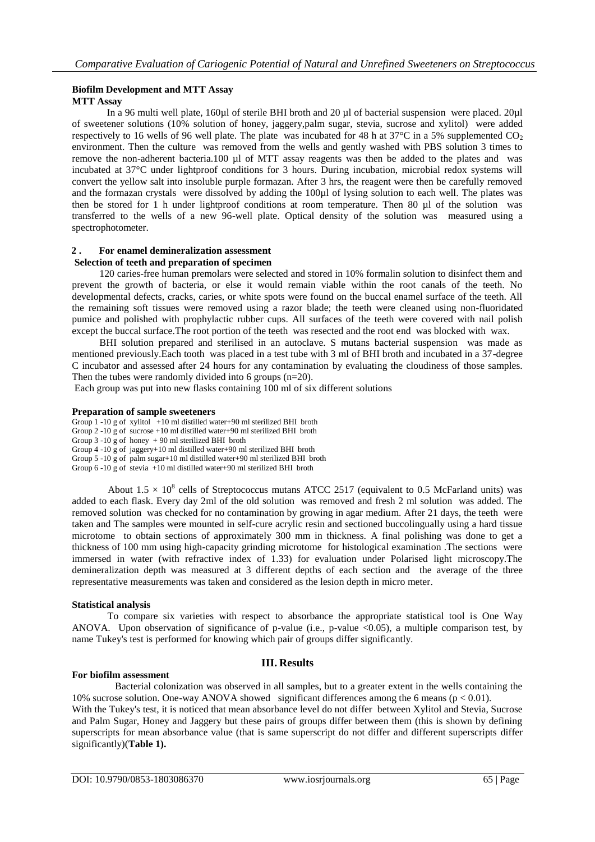# **Biofilm Development and MTT Assay MTT Assay**

 In a 96 multi well plate, 160µl of sterile BHI broth and 20 µl of bacterial suspension were placed. 20µl of sweetener solutions (10% solution of honey, jaggery,palm sugar, stevia, sucrose and xylitol) were added respectively to 16 wells of 96 well plate. The plate was incubated for 48 h at  $37^{\circ}$ C in a 5% supplemented  $CO<sub>2</sub>$ environment. Then the culture was removed from the wells and gently washed with PBS solution 3 times to remove the non-adherent bacteria.100 µl of MTT assay reagents was then be added to the plates and was incubated at 37°C under lightproof conditions for 3 hours. During incubation, microbial redox systems will convert the yellow salt into insoluble purple formazan. After 3 hrs, the reagent were then be carefully removed and the formazan crystals were dissolved by adding the 100µl of lysing solution to each well. The plates was then be stored for 1 h under lightproof conditions at room temperature. Then 80 µl of the solution was transferred to the wells of a new 96-well plate. Optical density of the solution was measured using a spectrophotometer.

#### **2 . For enamel demineralization assessment Selection of teeth and preparation of specimen**

 120 caries-free human premolars were selected and stored in 10% formalin solution to disinfect them and prevent the growth of bacteria, or else it would remain viable within the root canals of the teeth. No developmental defects, cracks, caries, or white spots were found on the buccal enamel surface of the teeth. All the remaining soft tissues were removed using a razor blade; the teeth were cleaned using non-fluoridated pumice and polished with prophylactic rubber cups. All surfaces of the teeth were covered with nail polish except the buccal surface.The root portion of the teeth was resected and the root end was blocked with wax.

 BHI solution prepared and sterilised in an autoclave. S mutans bacterial suspension was made as mentioned previously.Each tooth was placed in a test tube with 3 ml of BHI broth and incubated in a 37-degree C incubator and assessed after 24 hours for any contamination by evaluating the cloudiness of those samples. Then the tubes were randomly divided into 6 groups  $(n=20)$ .

Each group was put into new flasks containing 100 ml of six different solutions

# **Preparation of sample sweeteners**

Group  $1 - 10$  g of xylitol  $+10$  ml distilled water $+90$  ml sterilized BHI broth

Group 2 -10 g of sucrose +10 ml distilled water+90 ml sterilized BHI broth

Group 3 -10 g of honey + 90 ml sterilized BHI broth

Group  $4 - 10$  g of jaggery+10 ml distilled water+90 ml sterilized BHI broth

Group 5 -10 g of palm sugar+10 ml distilled water+90 ml sterilized BHI broth

Group 6 -10 g of stevia +10 ml distilled water+90 ml sterilized BHI broth

About  $1.5 \times 10^8$  cells of Streptococcus mutans ATCC 2517 (equivalent to 0.5 McFarland units) was added to each flask. Every day 2ml of the old solution was removed and fresh 2 ml solution was added. The removed solution was checked for no contamination by growing in agar medium. After 21 days, the teeth were taken and The samples were mounted in self-cure acrylic resin and sectioned buccolingually using a hard tissue microtome to obtain sections of approximately 300 mm in thickness. A final polishing was done to get a thickness of 100 mm using high-capacity grinding microtome for histological examination .The sections were immersed in water (with refractive index of 1.33) for evaluation under Polarised light microscopy.The demineralization depth was measured at 3 different depths of each section and the average of the three representative measurements was taken and considered as the lesion depth in micro meter.

# **Statistical analysis**

To compare six varieties with respect to absorbance the appropriate statistical tool is One Way ANOVA. Upon observation of significance of p-value (i.e., p-value <0.05), a multiple comparison test, by name Tukey's test is performed for knowing which pair of groups differ significantly.

# **III. Results**

# **For biofilm assessment**

 Bacterial colonization was observed in all samples, but to a greater extent in the wells containing the 10% sucrose solution. One-way ANOVA showed significant differences among the 6 means ( $p < 0.01$ ).

With the Tukey's test, it is noticed that mean absorbance level do not differ between Xylitol and Stevia, Sucrose and Palm Sugar, Honey and Jaggery but these pairs of groups differ between them (this is shown by defining superscripts for mean absorbance value (that is same superscript do not differ and different superscripts differ significantly)(**Table 1).**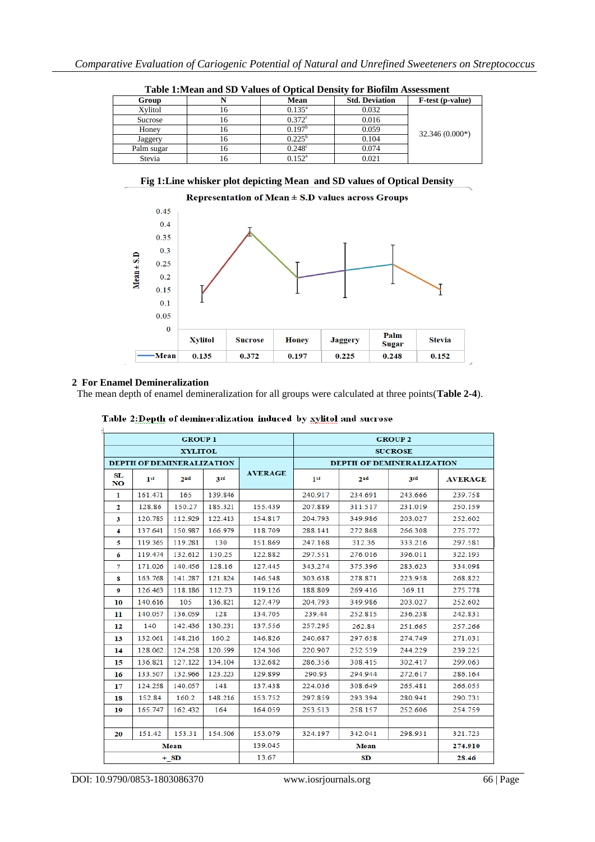|            | Table Thrigan and SD Values of Optical Density for Divilini Assessment |                      |                       |                  |
|------------|------------------------------------------------------------------------|----------------------|-----------------------|------------------|
| Group      |                                                                        | Mean                 | <b>Std. Deviation</b> | F-test (p-value) |
| Xvlitol    | 10                                                                     | $0.135^{\rm a}$      | 0.032                 |                  |
| Sucrose    | ΙO                                                                     | $0.372$ <sup>c</sup> | 0.016                 |                  |
| Honey      | 16                                                                     | 0.197 <sup>b</sup>   | 0.059                 | $32.346(0.000*)$ |
| Jaggery    | 16.                                                                    | $0.225^{\rm b}$      | 0.104                 |                  |
| Palm sugar | 10                                                                     | $0.248^{\circ}$      | 0.074                 |                  |
| Stevia     |                                                                        | $0.152^{\rm a}$      | 0.021                 |                  |

**Table 1:Mean and SD Values of Optical Density for Biofilm Assessment**





# **2 For Enamel Demineralization**

The mean depth of enamel demineralization for all groups were calculated at three points(**Table 2-4**).

|                                  |                 | <b>GROUP 1</b>  |         |                                  | <b>GROUP 2</b>  |                 |         |                |  |
|----------------------------------|-----------------|-----------------|---------|----------------------------------|-----------------|-----------------|---------|----------------|--|
|                                  | <b>XYLITOL</b>  |                 |         |                                  |                 | <b>SUCROSE</b>  |         |                |  |
| <b>DEPTH OF DEMINERALIZATION</b> |                 |                 |         | <b>DEPTH OF DEMINERALIZATION</b> |                 |                 |         |                |  |
| SL<br><b>NO</b>                  | 1 <sup>st</sup> | 2 <sub>nd</sub> | 3rd     | <b>AVERAGE</b>                   | 1 <sup>st</sup> | 2 <sub>nd</sub> | 3rd     | <b>AVERAGE</b> |  |
| ı                                | 161.471         | 165             | 139.846 |                                  | 240.917         | 234.691         | 243.666 | 239.758        |  |
| $\mathbf{2}$                     | 128.86          | 150.27          | 185.321 | 155.439                          | 207.889         | 311.517         | 231.019 | 250.159        |  |
| 3                                | 120.785         | 112.929         | 122.413 | 154.817                          | 204.793         | 349.986         | 203.027 | 252.602        |  |
| 4                                | 137.641         | 150.987         | 166.979 | 118.709                          | 288.141         | 272.868         | 266.308 | 275.772        |  |
| 5                                | 119.365         | 119.281         | 130     | 151.869                          | 247.168         | 312.36          | 333.216 | 297.581        |  |
| 6                                | 119.474         | 132.612         | 130.25  | 122.882                          | 297.551         | 276.016         | 396.011 | 322.193        |  |
| 7                                | 171.026         | 140.456         | 128.16  | 127.445                          | 343.274         | 375.396         | 283.623 | 334.098        |  |
| 8                                | 163.768         | 141.287         | 121.824 | 146.548                          | 303.638         | 278.871         | 223.958 | 268.822        |  |
| $\boldsymbol{9}$                 | 126.463         | 118.186         | 112.73  | 119.126                          | 188.809         | 269.416         | 369.11  | 275.778        |  |
| 10                               | 140.616         | 105             | 136.821 | 127.479                          | 204.793         | 349.986         | 203.027 | 252.602        |  |
| 11                               | 140.057         | 136.059         | 128     | 134.705                          | 239.44          | 252.815         | 236.238 | 242.831        |  |
| 12                               | 140             | 142.436         | 130.231 | 137.556                          | 257.295         | 262.84          | 251.665 | 257.266        |  |
| 13                               | 132.061         | 148.216         | 160.2   | 146.826                          | 240.687         | 297.658         | 274.749 | 271.031        |  |
| 14                               | 128.062         | 124.258         | 120.599 | 124.306                          | 220.907         | 252.539         | 244.229 | 239.225        |  |
| 15                               | 136.821         | 127.122         | 134.104 | 132.682                          | 286.356         | 308.415         | 302.417 | 299.063        |  |
| 16                               | 133.507         | 132.966         | 123.223 | 129.899                          | 290.93          | 294.944         | 272.617 | 286.164        |  |
| 17                               | 124.258         | 140.057         | 148     | 137.438                          | 224.036         | 308.649         | 265.481 | 266.055        |  |
| 18                               | 152.84          | 160.2           | 148.216 | 153.752                          | 297.859         | 293.394         | 280.941 | 290.731        |  |
| 19                               | 165.747         | 162.432         | 164     | 164.059                          | 253.513         | 258.157         | 252.606 | 254.759        |  |
|                                  |                 |                 |         |                                  |                 |                 |         |                |  |
| 20                               | 151.42          | 153.31          | 154.506 | 153.079                          | 324.197         | 342.041         | 298.931 | 321.723        |  |
|                                  |                 | Mean            |         | 139.045                          | <b>Mean</b>     |                 |         | 274.910        |  |
|                                  |                 | $+$ SD          |         | 13.67                            | SD              |                 |         | 28.46          |  |

Table 2:Depth of demineralization induced by xylitol and sucrose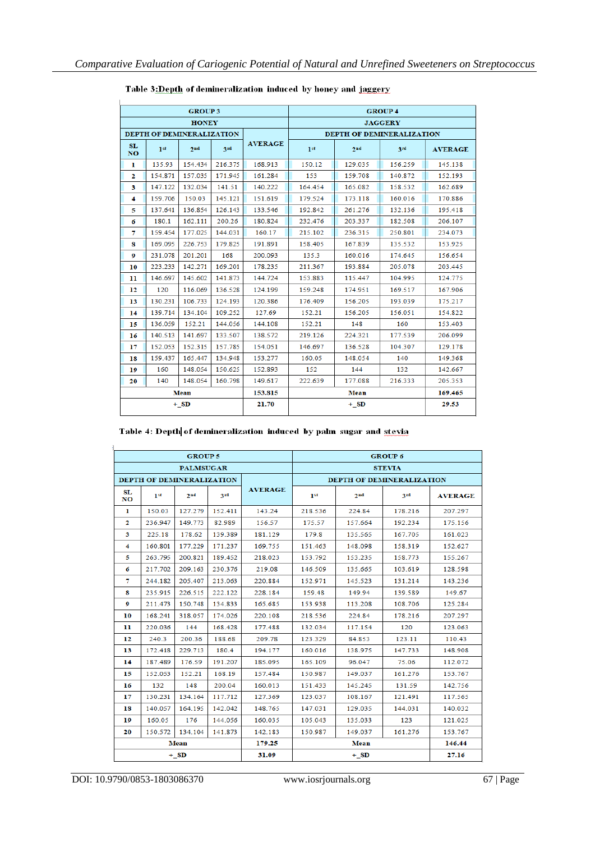| <b>GROUP3</b>                    |         |                 |            |                           | <b>GROUP 4</b> |                 |         |                |  |
|----------------------------------|---------|-----------------|------------|---------------------------|----------------|-----------------|---------|----------------|--|
| <b>HONEY</b>                     |         |                 |            |                           | <b>JAGGERY</b> |                 |         |                |  |
| <b>DEPTH OF DEMINERALIZATION</b> |         |                 |            | DEPTH OF DEMINERALIZATION |                |                 |         |                |  |
| <b>SL</b><br>N <sub>O</sub>      | 1st     | 2 <sub>nd</sub> | <b>ard</b> | <b>AVERAGE</b>            | 1st            | 2 <sub>nd</sub> | 3rd     | <b>AVERAGE</b> |  |
| 1                                | 135.93  | 154,434         | 216.375    | 168.913                   | 150.12         | 129.035         | 156.259 | 145.138        |  |
| $\mathbf{2}$                     | 154.871 | 157.035         | 171.945    | 161.284                   | 153            | 159.708         | 140.872 | 152.193        |  |
| 3                                | 147.122 | 132.034         | 141.51     | 140.222                   | 164.454        | 165.082         | 158.532 | 162.689        |  |
| 4                                | 159.706 | 150.03          | 145.121    | 151.619                   | 179.524        | 173.118         | 160.016 | 170.886        |  |
| 5                                | 137.641 | 136.854         | 126.143    | 133.546                   | 192.842        | 261.276         | 132.136 | 195.418        |  |
| 6                                | 180.1   | 162.111         | 200.26     | 180.824                   | 232.476        | 203.337         | 182.508 | 206.107        |  |
| 7                                | 159.454 | 177.025         | 144.031    | 160.17                    | 215.102        | 236.315         | 250.801 | 234.073        |  |
| 8                                | 169.095 | 226.753         | 179.825    | 191.891                   | 158.405        | 167.839         | 135.532 | 153.925        |  |
| 9                                | 231.078 | 201.201         | 168        | 200.093                   | 135.3          | 160,016         | 174.645 | 156.654        |  |
| 10                               | 223.233 | 142.271         | 169.201    | 178.235                   | 211.367        | 193.884         | 205.078 | 203.445        |  |
| 11                               | 146.697 | 145.602         | 141.873    | 144.724                   | 153.883        | 115.447         | 104.995 | 124.775        |  |
| 12                               | 120     | 116.069         | 136.528    | 124.199                   | 159.248        | 174.951         | 169.517 | 167.906        |  |
| 13                               | 130.231 | 106.733         | 124.193    | 120.386                   | 176,409        | 156.205         | 193.039 | 175.217        |  |
| 14                               | 139.714 | 134.104         | 109.252    | 127.69                    | 152.21         | 156,205         | 156.051 | 154.822        |  |
| 15                               | 136.059 | 152.21          | 144,056    | 144.108                   | 152.21         | 148             | 160     | 153.403        |  |
| 16                               | 140.513 | 141.697         | 133.507    | 138.572                   | 219.126        | 224.321         | 177.539 | 206.099        |  |
| 17                               | 152.053 | 152.315         | 157.785    | 154.051                   | 146.697        | 136.528         | 104.307 | 129.178        |  |
| 18                               | 159.437 | 165.447         | 134.948    | 153.277                   | 160.05         | 148.054         | 140     | 149.368        |  |
| 19                               | 160     | 148.054         | 150.625    | 152.893                   | 152            | 144             | 132     | 142.667        |  |
| 20                               | 140     | 148.054         | 160.798    | 149.617                   | 222.639        | 177.088         | 216.333 | 205.353        |  |
|                                  | Mean    |                 | 153.815    | Mean                      |                |                 | 169.465 |                |  |
|                                  | $+$ SD  |                 | 21.70      | $+$ SD                    |                |                 | 29.53   |                |  |

# Table 3: Depth of demineralization induced by honey and jaggery

| Table 4: Depth of demineralization induced by palm sugar and stevia |  |  |
|---------------------------------------------------------------------|--|--|
|---------------------------------------------------------------------|--|--|

|                           |                 | <b>GROUP 5</b> |         |                | <b>GROUP 6</b>            |                 |         |                |
|---------------------------|-----------------|----------------|---------|----------------|---------------------------|-----------------|---------|----------------|
| <b>PALMSUGAR</b>          |                 |                |         |                | <b>STEVIA</b>             |                 |         |                |
| DEPTH OF DEMINERALIZATION |                 |                |         |                | DEPTH OF DEMINERALIZATION |                 |         |                |
| SL<br>NO                  | 1 <sub>st</sub> | 2nd            | 3rd     | <b>AVERAGE</b> | 1 <sup>st</sup>           | 2 <sub>nd</sub> | 3rd     | <b>AVERAGE</b> |
| 1                         | 150.03          | 127.279        | 152.411 | 143.24         | 218.536                   | 224.84          | 178.216 | 207.297        |
| 2                         | 236.947         | 149.773        | 82.989  | 156.57         | 175.57                    | 157.664         | 192.234 | 175,156        |
| 3                         | 225.18          | 178.62         | 139.389 | 181.129        | 179.8                     | 135.565         | 167.705 | 161.023        |
| 4                         | 160.801         | 177.229        | 171.237 | 169.755        | 151.463                   | 148.098         | 158.319 | 152.627        |
| 5                         | 263.795         | 200.821        | 189.452 | 218.023        | 153.792                   | 153.235         | 158,773 | 155.267        |
| 6                         | 217.702         | 209.163        | 230.376 | 219.08         | 146,509                   | 135.665         | 103.619 | 128.598        |
| 7                         | 244 182         | 205 407        | 213 063 | 220 884        | 152.971                   | 145 523         | 131 214 | 143 236        |
| 8                         | 235.915         | 226.515        | 222.122 | 228.184        | 159.48                    | 149.94          | 139.589 | 149.67         |
| 9                         | 211.473         | 150.748        | 134.833 | 165.685        | 153.938                   | 113.208         | 108.706 | 125.284        |
| 10                        | 168.241         | 318.057        | 174.026 | 220.108        | 218.536                   | 224.84          | 178.216 | 207.297        |
| п                         | 220 036         | 144            | 168.428 | 177.488        | 132.034                   | 117.154         | 120     | 123.063        |
| 12                        | 240.3           | 200.36         | 188.68  | 209.78         | 123.329                   | 84.853          | 123.11  | 110.43         |
| 13                        | 172.418         | 229.713        | 180.4   | 194.177        | 160.016                   | 138.975         | 147.733 | 148.908        |
| 14                        | 187.489         | 176.59         | 191.207 | 185.095        | 165.109                   | 96.047          | 75.06   | 112.072        |
| 15                        | 152.053         | 152.21         | 168.19  | 157.484        | 150.987                   | 149.037         | 161.276 | 153.767        |
| 16                        | 132             | 148            | 200.04  | 160.013        | 151.433                   | 145.245         | 131.59  | 142.756        |
| 17                        | 130.231         | 134.164        | 117.712 | 127.369        | 123.037                   | 108.167         | 121.491 | 117.565        |
| 18                        | 140.057         | 164.195        | 142.042 | 148.765        | 147.031                   | 129.035         | 144.031 | 140.032        |
| 19                        | 160.05          | 176            | 144.056 | 160.035        | 105.043                   | 135.033         | 123     | 121.025        |
| 20                        | 150.572         | 134.104        | 141.873 | 142.183        | 150.987                   | 149.037         | 161.276 | 153.767        |
|                           |                 | Mean           |         | 179.25         |                           | Mean            |         | 146.44         |
| $+$ SD                    |                 |                | 31.09   |                | $+$ SD                    |                 | 27.16   |                |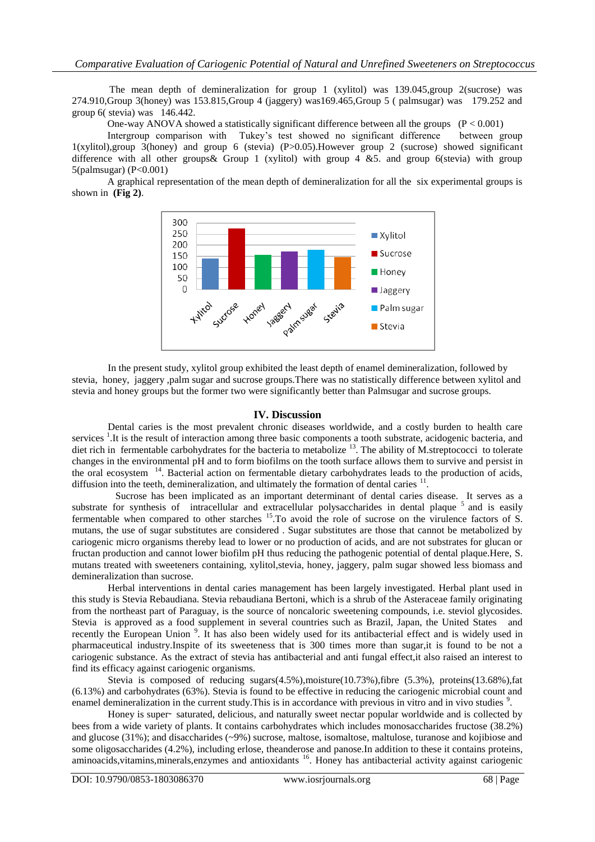The mean depth of demineralization for group 1 (xylitol) was 139.045,group 2(sucrose) was 274.910,Group 3(honey) was 153.815,Group 4 (jaggery) was169.465,Group 5 ( palmsugar) was 179.252 and group 6( stevia) was 146.442.

One-way ANOVA showed a statistically significant difference between all the groups  $(P < 0.001)$ 

Intergroup comparison with Tukey's test showed no significant difference between group 1(xylitol),group 3(honey) and group 6 (stevia) (P>0.05).However group 2 (sucrose) showed significant difference with all other groups & Group 1 (xylitol) with group  $4 \& 5$ . and group 6(stevia) with group 5(palmsugar) (P<0.001)

A graphical representation of the mean depth of demineralization for all the six experimental groups is shown in **(Fig 2)**.



In the present study, xylitol group exhibited the least depth of enamel demineralization, followed by stevia, honey, jaggery ,palm sugar and sucrose groups.There was no statistically difference between xylitol and stevia and honey groups but the former two were significantly better than Palmsugar and sucrose groups.

# **IV. Discussion**

Dental caries is the most prevalent chronic diseases worldwide, and a costly burden to health care services<sup>1</sup>. It is the result of interaction among three basic components a tooth substrate, acidogenic bacteria, and diet rich in fermentable carbohydrates for the bacteria to metabolize <sup>13</sup>. The ability of M.streptococci to tolerate changes in the environmental pH and to form biofilms on the tooth surface allows them to survive and persist in the oral ecosystem <sup>14</sup>. Bacterial action on fermentable dietary carbohydrates leads to the production of acids, diffusion into the teeth, demineralization, and ultimately the formation of dental caries <sup>11</sup>.

 Sucrose has been implicated as an important determinant of dental caries disease. It serves as a substrate for synthesis of intracellular and extracellular polysaccharides in dental plaque <sup>5</sup> and is easily fermentable when compared to other starches <sup>15</sup>. To avoid the role of sucrose on the virulence factors of S. mutans, the use of sugar substitutes are considered . Sugar substitutes are those that cannot be metabolized by cariogenic micro organisms thereby lead to lower or no production of acids, and are not substrates for glucan or fructan production and cannot lower biofilm pH thus reducing the pathogenic potential of dental plaque.Here, S. mutans treated with sweeteners containing, xylitol,stevia, honey, jaggery, palm sugar showed less biomass and demineralization than sucrose.

Herbal interventions in dental caries management has been largely investigated. Herbal plant used in this study is Stevia Rebaudiana. Stevia rebaudiana Bertoni, which is a shrub of the Asteraceae family originating from the northeast part of Paraguay, is the source of noncaloric sweetening compounds, i.e. steviol glycosides. Stevia is approved as a food supplement in several countries such as Brazil, Japan, the United States and recently the European Union<sup>9</sup>. It has also been widely used for its antibacterial effect and is widely used in pharmaceutical industry.Inspite of its sweeteness that is 300 times more than sugar,it is found to be not a cariogenic substance. As the extract of stevia has antibacterial and anti fungal effect,it also raised an interest to find its efficacy against cariogenic organisms.

Stevia is composed of reducing sugars $(4.5\%)$ , moisture $(10.73\%)$ , fibre  $(5.3\%)$ , proteins $(13.68\%)$ , fat (6.13%) and carbohydrates (63%). Stevia is found to be effective in reducing the cariogenic microbial count and enamel demineralization in the current study. This is in accordance with previous in vitro and in vivo studies  $\degree$ .

Honey is super– saturated, delicious, and naturally sweet nectar popular worldwide and is collected by bees from a wide variety of plants. It contains carbohydrates which includes monosaccharides fructose (38.2%) and glucose (31%); and disaccharides (~9%) sucrose, maltose, isomaltose, maltulose, turanose and kojibiose and some oligosaccharides (4.2%), including erlose, theanderose and panose.In addition to these it contains proteins, aminoacids, vitamins, minerals, enzymes and antioxidants <sup>16</sup>. Honey has antibacterial activity against cariogenic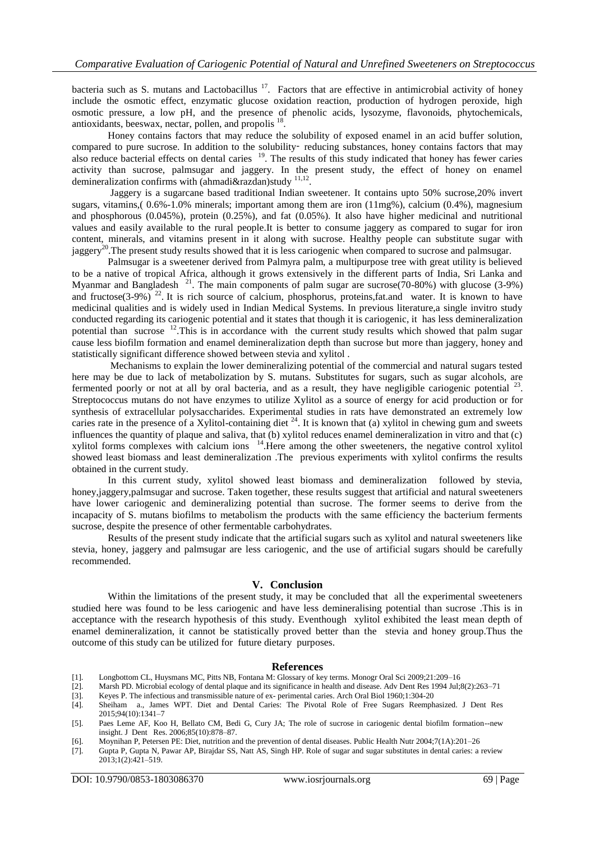bacteria such as S. mutans and Lactobacillus<sup>17</sup>. Factors that are effective in antimicrobial activity of honey include the osmotic effect, enzymatic glucose oxidation reaction, production of hydrogen peroxide, high osmotic pressure, a low pH, and the presence of phenolic acids, lysozyme, flavonoids, phytochemicals, antioxidants, beeswax, nectar, pollen, and propolis <sup>18</sup>.

Honey contains factors that may reduce the solubility of exposed enamel in an acid buffer solution, compared to pure sucrose. In addition to the solubility-reducing substances, honey contains factors that may also reduce bacterial effects on dental caries <sup>19</sup>. The results of this study indicated that honey has fewer caries activity than sucrose, palmsugar and jaggery. In the present study, the effect of honey on enamel demineralization confirms with (ahmadi&razdan)study  $^{11,12}$ .

Jaggery is a sugarcane based traditional Indian sweetener. It contains upto 50% sucrose,20% invert sugars, vitamins,  $(0.6\% - 1.0\%$  minerals; important among them are iron  $(11mg\%)$ , calcium  $(0.4\%)$ , magnesium and phosphorous (0.045%), protein (0.25%), and fat (0.05%). It also have higher medicinal and nutritional values and easily available to the rural people.It is better to consume jaggery as compared to sugar for iron content, minerals, and vitamins present in it along with sucrose. Healthy people can substitute sugar with jaggery<sup>20</sup>. The present study results showed that it is less cariogenic when compared to sucrose and palmsugar.

Palmsugar is a sweetener derived from Palmyra palm, a multipurpose tree with great utility is believed to be a native of tropical Africa, although it grows extensively in the different parts of India, Sri Lanka and Myanmar and Bangladesh<sup>21</sup>. The main components of palm sugar are sucrose(70-80%) with glucose (3-9%) and fructose(3-9%)<sup>22</sup>. It is rich source of calcium, phosphorus, proteins,fat.and water. It is known to have medicinal qualities and is widely used in Indian Medical Systems. In previous literature,a single invitro study conducted regarding its cariogenic potential and it states that though it is cariogenic, it has less demineralization potential than sucrose <sup>12</sup>. This is in accordance with the current study results which showed that palm sugar cause less biofilm formation and enamel demineralization depth than sucrose but more than jaggery, honey and statistically significant difference showed between stevia and xylitol .

Mechanisms to explain the lower demineralizing potential of the commercial and natural sugars tested here may be due to lack of metabolization by S. mutans. Substitutes for sugars, such as sugar alcohols, are fermented poorly or not at all by oral bacteria, and as a result, they have negligible cariogenic potential <sup>23</sup>. Streptococcus mutans do not have enzymes to utilize Xylitol as a source of energy for acid production or for synthesis of extracellular polysaccharides. Experimental studies in rats have demonstrated an extremely low caries rate in the presence of a Xylitol-containing diet  $^{24}$ . It is known that (a) xylitol in chewing gum and sweets influences the quantity of plaque and saliva, that (b) xylitol reduces enamel demineralization in vitro and that (c) xylitol forms complexes with calcium ions <sup>14</sup>. Here among the other sweeteners, the negative control xylitol showed least biomass and least demineralization .The previous experiments with xylitol confirms the results obtained in the current study.

In this current study, xylitol showed least biomass and demineralization followed by stevia, honey,jaggery,palmsugar and sucrose. Taken together, these results suggest that artificial and natural sweeteners have lower cariogenic and demineralizing potential than sucrose. The former seems to derive from the incapacity of S. mutans biofilms to metabolism the products with the same efficiency the bacterium ferments sucrose, despite the presence of other fermentable carbohydrates.

Results of the present study indicate that the artificial sugars such as xylitol and natural sweeteners like stevia, honey, jaggery and palmsugar are less cariogenic, and the use of artificial sugars should be carefully recommended.

# **V. Conclusion**

Within the limitations of the present study, it may be concluded that all the experimental sweeteners studied here was found to be less cariogenic and have less demineralising potential than sucrose .This is in acceptance with the research hypothesis of this study. Eventhough xylitol exhibited the least mean depth of enamel demineralization, it cannot be statistically proved better than the stevia and honey group.Thus the outcome of this study can be utilized for future dietary purposes.

#### **References**

- [1]. Longbottom CL, Huysmans MC, Pitts NB, Fontana M: Glossary of key terms. Monogr Oral Sci 2009;21:209–16
- [2]. Marsh PD. Microbial ecology of dental plaque and its significance in health and disease. Adv Dent Res 1994 Jul;8(2):263–71
- [3]. Keyes P. The infectious and transmissible nature of ex- perimental caries. Arch Oral Biol 1960;1:304-20
- [4]. Sheiham a., James WPT. Diet and Dental Caries: The Pivotal Role of Free Sugars Reemphasized. J Dent Res 2015;94(10):1341–7

- [6]. Moynihan P, Petersen PE: Diet, nutrition and the prevention of dental diseases. Public Health Nutr 2004;7(1A):201–26
- [7]. Gupta P, Gupta N, Pawar AP, Birajdar SS, Natt AS, Singh HP. Role of sugar and sugar substitutes in dental caries: a review 2013;1(2):421–519.

<sup>[5].</sup> Paes Leme AF, Koo H, Bellato CM, Bedi G, Cury JA; The role of sucrose in cariogenic dental biofilm formation--new insight. J Dent Res. 2006;85(10):878–87.